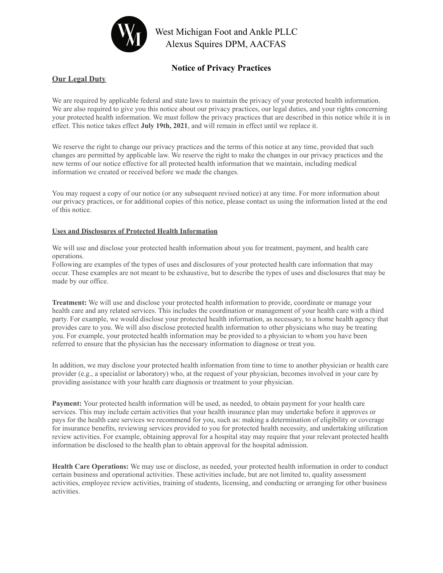

### **Notice of Privacy Practices**

#### **Our Legal Duty**

We are required by applicable federal and state laws to maintain the privacy of your protected health information. We are also required to give you this notice about our privacy practices, our legal duties, and your rights concerning your protected health information. We must follow the privacy practices that are described in this notice while it is in effect. This notice takes effect **July 19th, 2021**, and will remain in effect until we replace it.

We reserve the right to change our privacy practices and the terms of this notice at any time, provided that such changes are permitted by applicable law. We reserve the right to make the changes in our privacy practices and the new terms of our notice effective for all protected health information that we maintain, including medical information we created or received before we made the changes.

You may request a copy of our notice (or any subsequent revised notice) at any time. For more information about our privacy practices, or for additional copies of this notice, please contact us using the information listed at the end of this notice.

#### **Uses and Disclosures of Protected Health Information**

We will use and disclose your protected health information about you for treatment, payment, and health care operations.

Following are examples of the types of uses and disclosures of your protected health care information that may occur. These examples are not meant to be exhaustive, but to describe the types of uses and disclosures that may be made by our office.

**Treatment:** We will use and disclose your protected health information to provide, coordinate or manage your health care and any related services. This includes the coordination or management of your health care with a third party. For example, we would disclose your protected health information, as necessary, to a home health agency that provides care to you. We will also disclose protected health information to other physicians who may be treating you. For example, your protected health information may be provided to a physician to whom you have been referred to ensure that the physician has the necessary information to diagnose or treat you.

In addition, we may disclose your protected health information from time to time to another physician or health care provider (e.g., a specialist or laboratory) who, at the request of your physician, becomes involved in your care by providing assistance with your health care diagnosis or treatment to your physician.

**Payment:** Your protected health information will be used, as needed, to obtain payment for your health care services. This may include certain activities that your health insurance plan may undertake before it approves or pays for the health care services we recommend for you, such as: making a determination of eligibility or coverage for insurance benefits, reviewing services provided to you for protected health necessity, and undertaking utilization review activities. For example, obtaining approval for a hospital stay may require that your relevant protected health information be disclosed to the health plan to obtain approval for the hospital admission.

**Health Care Operations:** We may use or disclose, as needed, your protected health information in order to conduct certain business and operational activities. These activities include, but are not limited to, quality assessment activities, employee review activities, training of students, licensing, and conducting or arranging for other business activities.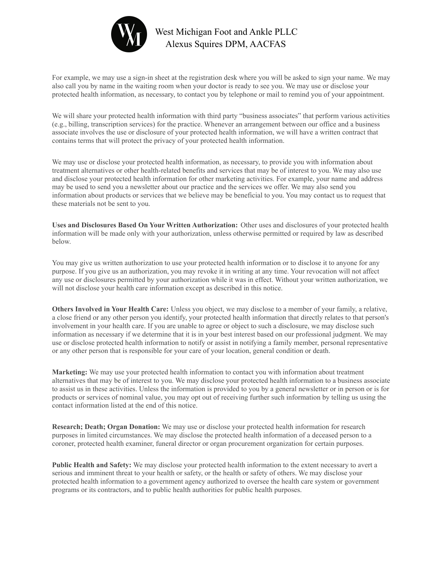

For example, we may use a sign-in sheet at the registration desk where you will be asked to sign your name. We may also call you by name in the waiting room when your doctor is ready to see you. We may use or disclose your protected health information, as necessary, to contact you by telephone or mail to remind you of your appointment.

We will share your protected health information with third party "business associates" that perform various activities (e.g., billing, transcription services) for the practice. Whenever an arrangement between our office and a business associate involves the use or disclosure of your protected health information, we will have a written contract that contains terms that will protect the privacy of your protected health information.

We may use or disclose your protected health information, as necessary, to provide you with information about treatment alternatives or other health-related benefits and services that may be of interest to you. We may also use and disclose your protected health information for other marketing activities. For example, your name and address may be used to send you a newsletter about our practice and the services we offer. We may also send you information about products or services that we believe may be beneficial to you. You may contact us to request that these materials not be sent to you.

**Uses and Disclosures Based On Your Written Authorization:** Other uses and disclosures of your protected health information will be made only with your authorization, unless otherwise permitted or required by law as described below.

You may give us written authorization to use your protected health information or to disclose it to anyone for any purpose. If you give us an authorization, you may revoke it in writing at any time. Your revocation will not affect any use or disclosures permitted by your authorization while it was in effect. Without your written authorization, we will not disclose your health care information except as described in this notice.

**Others Involved in Your Health Care:** Unless you object, we may disclose to a member of your family, a relative, a close friend or any other person you identify, your protected health information that directly relates to that person's involvement in your health care. If you are unable to agree or object to such a disclosure, we may disclose such information as necessary if we determine that it is in your best interest based on our professional judgment. We may use or disclose protected health information to notify or assist in notifying a family member, personal representative or any other person that is responsible for your care of your location, general condition or death.

**Marketing:** We may use your protected health information to contact you with information about treatment alternatives that may be of interest to you. We may disclose your protected health information to a business associate to assist us in these activities. Unless the information is provided to you by a general newsletter or in person or is for products or services of nominal value, you may opt out of receiving further such information by telling us using the contact information listed at the end of this notice.

**Research; Death; Organ Donation:** We may use or disclose your protected health information for research purposes in limited circumstances. We may disclose the protected health information of a deceased person to a coroner, protected health examiner, funeral director or organ procurement organization for certain purposes.

**Public Health and Safety:** We may disclose your protected health information to the extent necessary to avert a serious and imminent threat to your health or safety, or the health or safety of others. We may disclose your protected health information to a government agency authorized to oversee the health care system or government programs or its contractors, and to public health authorities for public health purposes.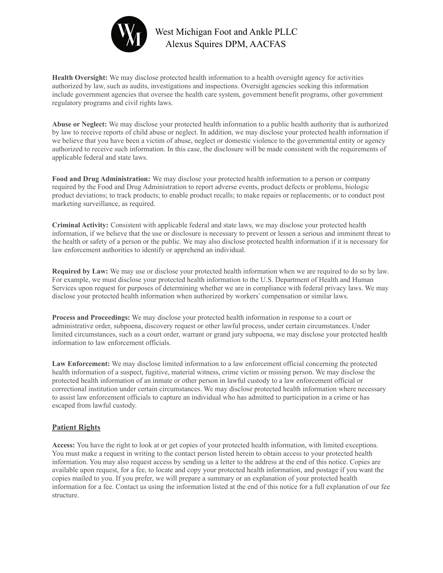

**Health Oversight:** We may disclose protected health information to a health oversight agency for activities authorized by law, such as audits, investigations and inspections. Oversight agencies seeking this information include government agencies that oversee the health care system, government benefit programs, other government regulatory programs and civil rights laws.

**Abuse or Neglect:** We may disclose your protected health information to a public health authority that is authorized by law to receive reports of child abuse or neglect. In addition, we may disclose your protected health information if we believe that you have been a victim of abuse, neglect or domestic violence to the governmental entity or agency authorized to receive such information. In this case, the disclosure will be made consistent with the requirements of applicable federal and state laws.

**Food and Drug Administration:** We may disclose your protected health information to a person or company required by the Food and Drug Administration to report adverse events, product defects or problems, biologic product deviations; to track products; to enable product recalls; to make repairs or replacements; or to conduct post marketing surveillance, as required.

**Criminal Activity:** Consistent with applicable federal and state laws, we may disclose your protected health information, if we believe that the use or disclosure is necessary to prevent or lessen a serious and imminent threat to the health or safety of a person or the public. We may also disclose protected health information if it is necessary for law enforcement authorities to identify or apprehend an individual.

**Required by Law:** We may use or disclose your protected health information when we are required to do so by law. For example, we must disclose your protected health information to the U.S. Department of Health and Human Services upon request for purposes of determining whether we are in compliance with federal privacy laws. We may disclose your protected health information when authorized by workers' compensation or similar laws.

**Process and Proceedings:** We may disclose your protected health information in response to a court or administrative order, subpoena, discovery request or other lawful process, under certain circumstances. Under limited circumstances, such as a court order, warrant or grand jury subpoena, we may disclose your protected health information to law enforcement officials.

**Law Enforcement:** We may disclose limited information to a law enforcement official concerning the protected health information of a suspect, fugitive, material witness, crime victim or missing person. We may disclose the protected health information of an inmate or other person in lawful custody to a law enforcement official or correctional institution under certain circumstances. We may disclose protected health information where necessary to assist law enforcement officials to capture an individual who has admitted to participation in a crime or has escaped from lawful custody.

### **Patient Rights**

**Access:** You have the right to look at or get copies of your protected health information, with limited exceptions. You must make a request in writing to the contact person listed herein to obtain access to your protected health information. You may also request access by sending us a letter to the address at the end of this notice. Copies are available upon request, for a fee, to locate and copy your protected health information, and postage if you want the copies mailed to you. If you prefer, we will prepare a summary or an explanation of your protected health information for a fee. Contact us using the information listed at the end of this notice for a full explanation of our fee structure.